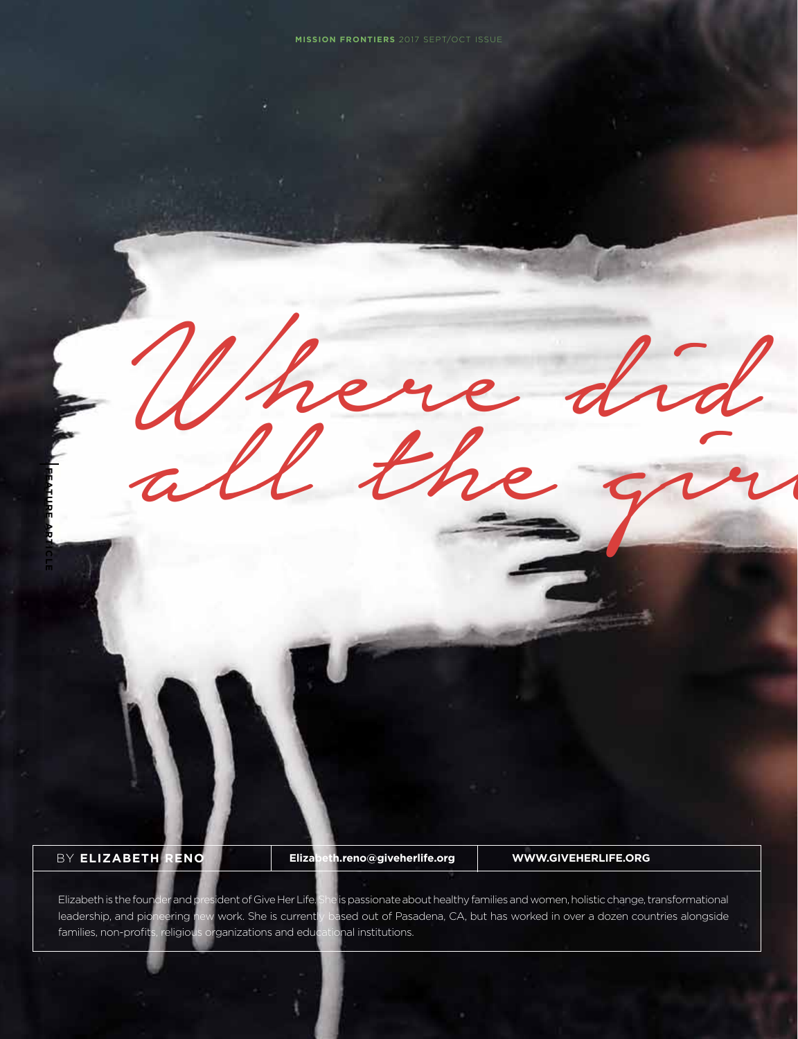Where did

BY **Elizabeth Reno** 

**FEATURE ARTICLE**

**Elizabeth.reno@giveherlife.org www.GiveHerLife.org**

Wnere and

Elizabeth is the founder and president of Give Her Life. She is passionate about healthy families and women, holistic change, transformational leadership, and pioneering new work. She is currently based out of Pasadena, CA, but has worked in over a dozen countries alongside families, non-profits, religious organizations and educational institutions.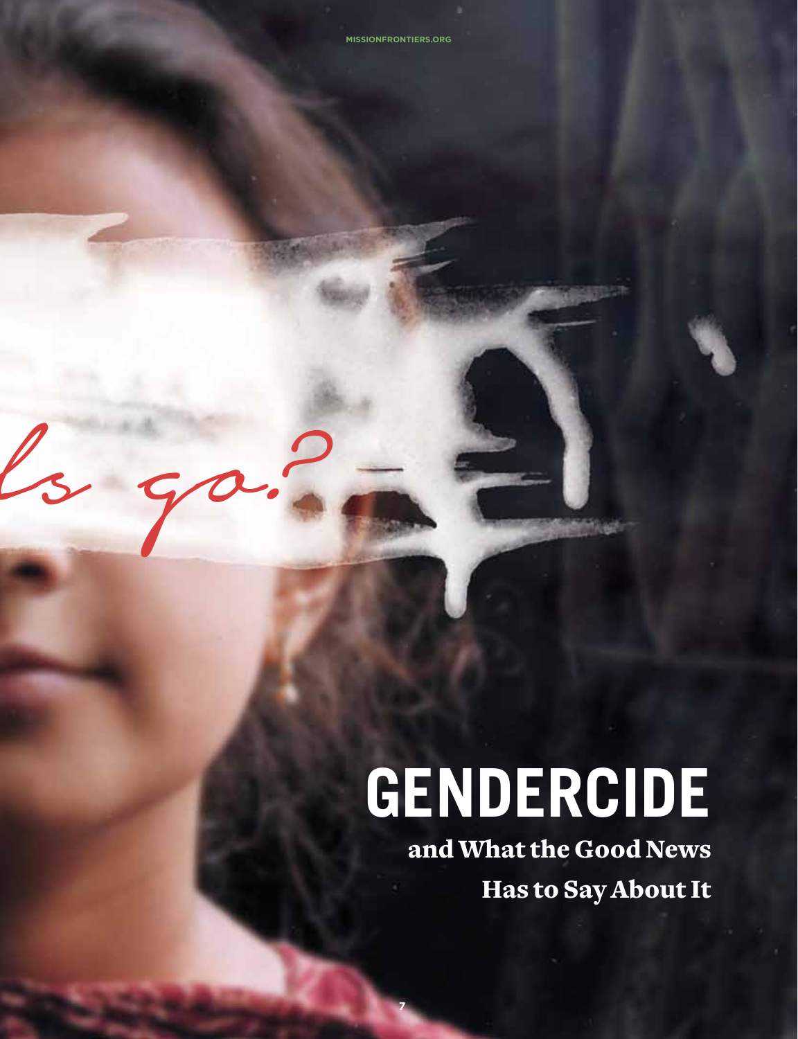Where did not be a control of the did not be a control of the did not be a control of the did not be a control of the did not be a control of the did not be a control of the did not be a control of the did not be a control

 $2g$ 

# **Gendercide**

**7** 

and What the Good News Has to Say About It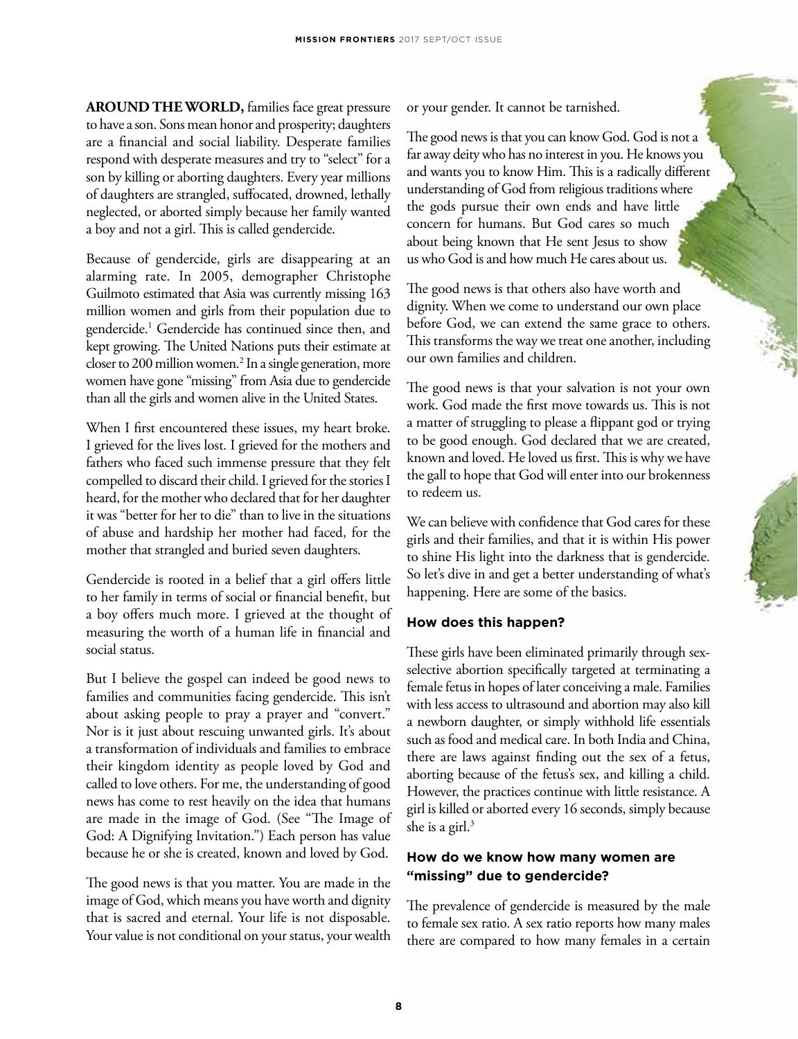**AROUND THE WORLD, families face great pressure** to have a son. Sons mean honor and prosperity; daughters are a financial and social liability. Desperate families respond with desperate measures and try to "select" for a son by killing or aborting daughters. Every year millions of daughters are strangled, suffocated, drowned, lethally neglected, or aborted simply because her family wanted a boy and not a girl. This is called gendercide.

Because of gendercide, girls are disappearing at an alarming rate. In 2005, demographer Christophe Guilmoto estimated that Asia was currently missing 163 million women and girls from their population due to gendercide.1 Gendercide has continued since then, and kept growing. The United Nations puts their estimate at closer to 200 million women.<sup>2</sup> In a single generation, more women have gone "missing" from Asia due to gendercide than all the girls and women alive in the United States.

When I first encountered these issues, my heart broke. I grieved for the lives lost. I grieved for the mothers and fathers who faced such immense pressure that they felt compelled to discard their child. I grieved for the stories I heard, for the mother who declared that for her daughter it was "better for her to die" than to live in the situations of abuse and hardship her mother had faced, for the mother that strangled and buried seven daughters.

Gendercide is rooted in a belief that a girl offers little to her family in terms of social or financial benefit, but a boy offers much more. I grieved at the thought of measuring the worth of a human life in financial and social status.

But I believe the gospel can indeed be good news to families and communities facing gendercide. This isn't about asking people to pray a prayer and "convert." Nor is it just about rescuing unwanted girls. It's about a transformation of individuals and families to embrace their kingdom identity as people loved by God and called to love others. For me, the understanding of good news has come to rest heavily on the idea that humans are made in the image of God. (See "The Image of God: A Dignifying Invitation.") Each person has value because he or she is created, known and loved by God.

The good news is that you matter. You are made in the image of God, which means you have worth and dignity that is sacred and eternal. Your life is not disposable. Your value is not conditional on your status, your wealth or your gender. It cannot be tarnished.

The good news is that you can know God. God is not a far away deity who has no interest in you. He knows you and wants you to know Him. This is a radically different understanding of God from religious traditions where the gods pursue their own ends and have little concern for humans. But God cares so much about being known that He sent Jesus to show us who God is and how much He cares about us.

The good news is that others also have worth and dignity. When we come to understand our own place before God, we can extend the same grace to others. This transforms the way we treat one another, including our own families and children.

The good news is that your salvation is not your own work. God made the first move towards us. This is not a matter of struggling to please a flippant god or trying to be good enough. God declared that we are created, known and loved. He loved us first. This is why we have the gall to hope that God will enter into our brokenness to redeem us.

We can believe with confidence that God cares for these girls and their families, and that it is within His power to shine His light into the darkness that is gendercide. So let's dive in and get a better understanding of what's happening. Here are some of the basics.

### **How does this happen?**

These girls have been eliminated primarily through sexselective abortion specifically targeted at terminating a female fetus in hopes of later conceiving a male. Families with less access to ultrasound and abortion may also kill a newborn daughter, or simply withhold life essentials such as food and medical care. In both India and China, there are laws against finding out the sex of a fetus, aborting because of the fetus's sex, and killing a child. However, the practices continue with little resistance. A girl is killed or aborted every 16 seconds, simply because she is a girl. $3$ 

## **How do we know how many women are "missing" due to gendercide?**

The prevalence of gendercide is measured by the male to female sex ratio. A sex ratio reports how many males there are compared to how many females in a certain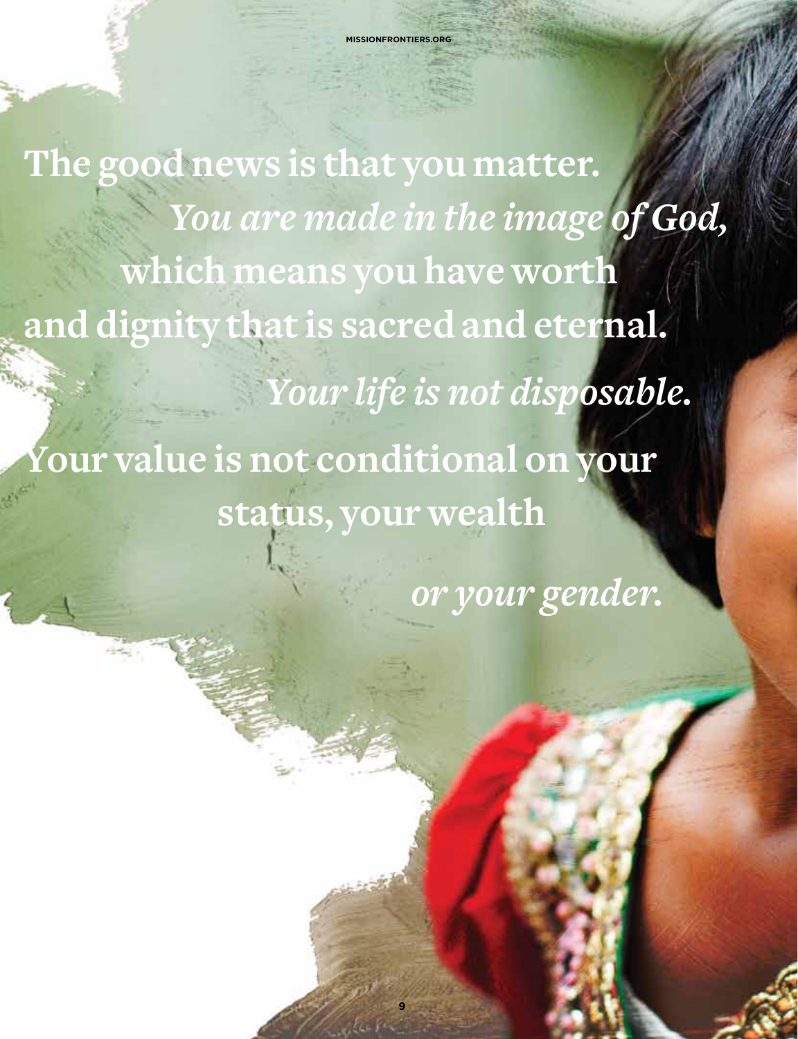**The good news is that you matter.** *You are made in the image of God,* **which means you have worth and dignity that is sacred and eternal.**   *Your life is not disposable.*  **Your value is not conditional on your status, your wealth** 

**9** 

 *or your gender.*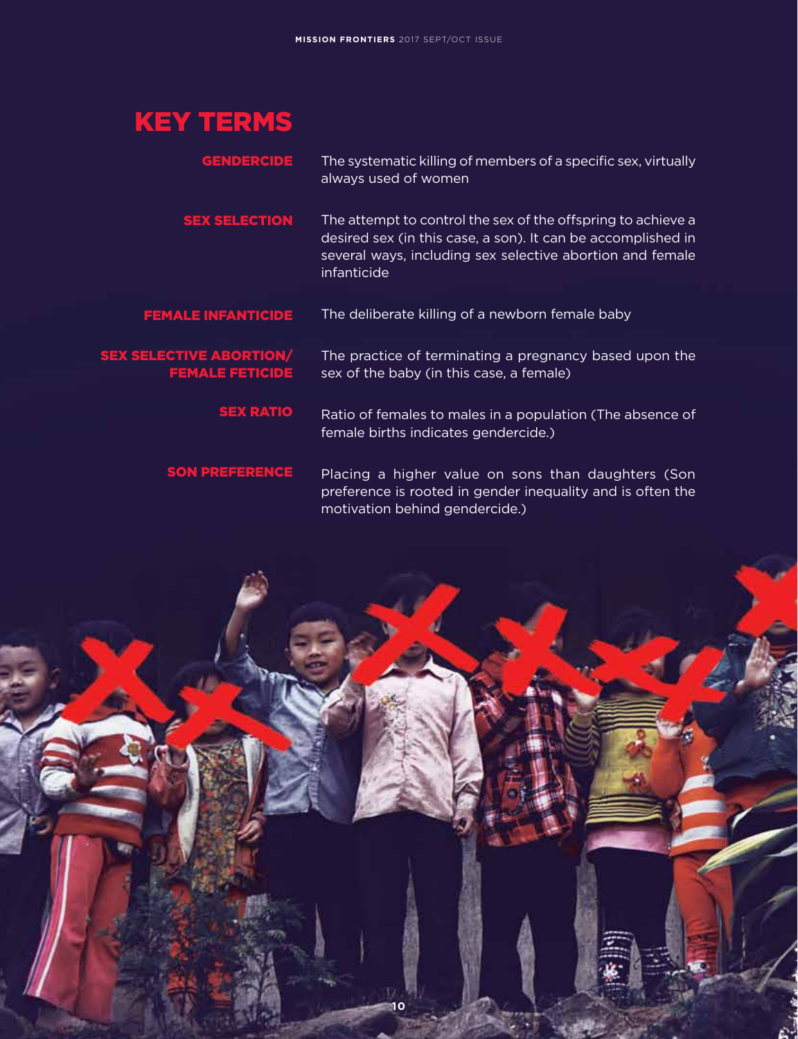# KEY TERMS

The systematic killing of members of a specific sex, virtually always used of women **GENDERCIDE** 

The attempt to control the sex of the offspring to achieve a desired sex (in this case, a son). It can be accomplished in several ways, including sex selective abortion and female infanticide Sex selection

The deliberate killing of a newborn female baby Female infanticide

## Sex selective abortion/ female feticide

The practice of terminating a pregnancy based upon the sex of the baby (in this case, a female)

Ratio of females to males in a population (The absence of female births indicates gendercide.) **SEX RATIO** 

Placing a higher value on sons than daughters (Son preference is rooted in gender inequality and is often the motivation behind gendercide.) Son preference

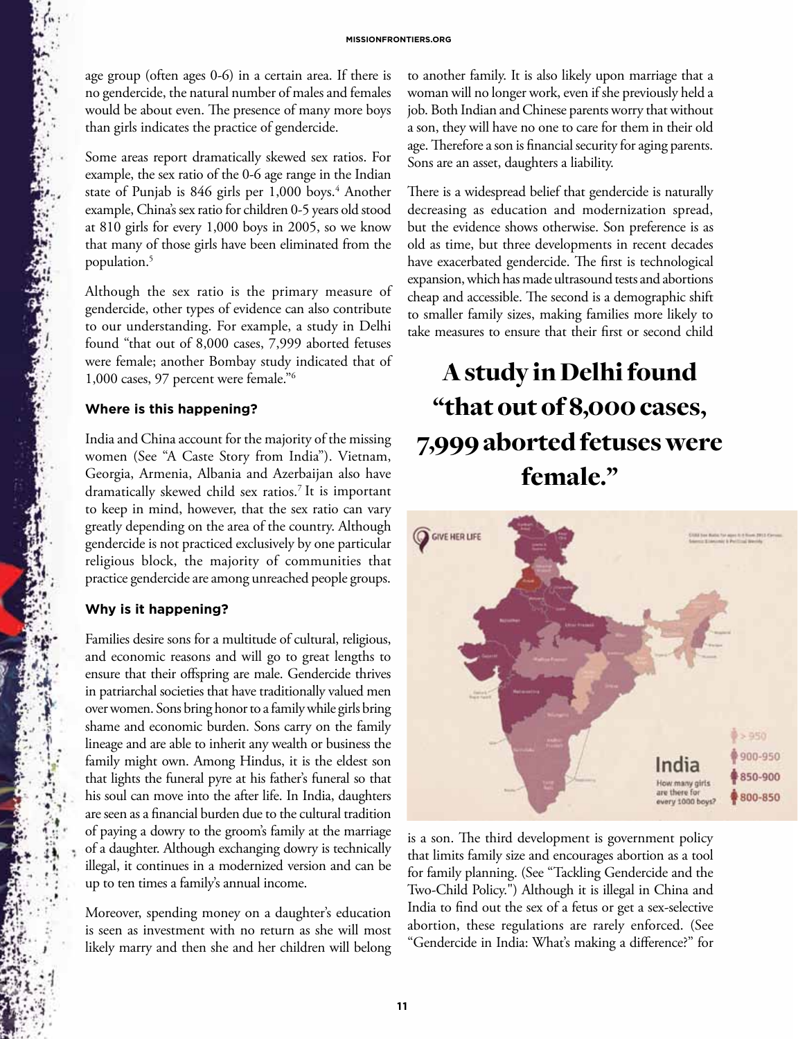age group (often ages 0-6) in a certain area. If there is no gendercide, the natural number of males and females would be about even. The presence of many more boys than girls indicates the practice of gendercide.

Some areas report dramatically skewed sex ratios. For example, the sex ratio of the 0-6 age range in the Indian state of Punjab is 846 girls per 1,000 boys.<sup>4</sup> Another example, China's sex ratio for children 0-5 years old stood at 810 girls for every 1,000 boys in 2005, so we know that many of those girls have been eliminated from the population.5

Although the sex ratio is the primary measure of gendercide, other types of evidence can also contribute to our understanding. For example, a study in Delhi found "that out of 8,000 cases, 7,999 aborted fetuses were female; another Bombay study indicated that of 1,000 cases, 97 percent were female."6

#### **Where is this happening?**

**STANDARD SONOR** 

India and China account for the majority of the missing women (See "A Caste Story from India"). Vietnam, Georgia, Armenia, Albania and Azerbaijan also have dramatically skewed child sex ratios.7 It is important to keep in mind, however, that the sex ratio can vary greatly depending on the area of the country. Although gendercide is not practiced exclusively by one particular religious block, the majority of communities that practice gendercide are among unreached people groups.

#### **Why is it happening?**

Families desire sons for a multitude of cultural, religious, and economic reasons and will go to great lengths to ensure that their offspring are male. Gendercide thrives in patriarchal societies that have traditionally valued men over women. Sons bring honor to a family while girls bring shame and economic burden. Sons carry on the family lineage and are able to inherit any wealth or business the family might own. Among Hindus, it is the eldest son that lights the funeral pyre at his father's funeral so that his soul can move into the after life. In India, daughters are seen as a financial burden due to the cultural tradition of paying a dowry to the groom's family at the marriage of a daughter. Although exchanging dowry is technically illegal, it continues in a modernized version and can be up to ten times a family's annual income.

Moreover, spending money on a daughter's education is seen as investment with no return as she will most likely marry and then she and her children will belong to another family. It is also likely upon marriage that a woman will no longer work, even if she previously held a job. Both Indian and Chinese parents worry that without a son, they will have no one to care for them in their old age. Therefore a son is financial security for aging parents. Sons are an asset, daughters a liability.

There is a widespread belief that gendercide is naturally decreasing as education and modernization spread, but the evidence shows otherwise. Son preference is as old as time, but three developments in recent decades have exacerbated gendercide. The first is technological expansion, which has made ultrasound tests and abortions cheap and accessible. The second is a demographic shift to smaller family sizes, making families more likely to take measures to ensure that their first or second child

# A study in Delhi found "that out of 8,000 cases, 7,999 aborted fetuses were female."



is a son. The third development is government policy that limits family size and encourages abortion as a tool for family planning. (See "Tackling Gendercide and the Two-Child Policy.") Although it is illegal in China and India to find out the sex of a fetus or get a sex-selective abortion, these regulations are rarely enforced. (See "Gendercide in India: What's making a difference?" for